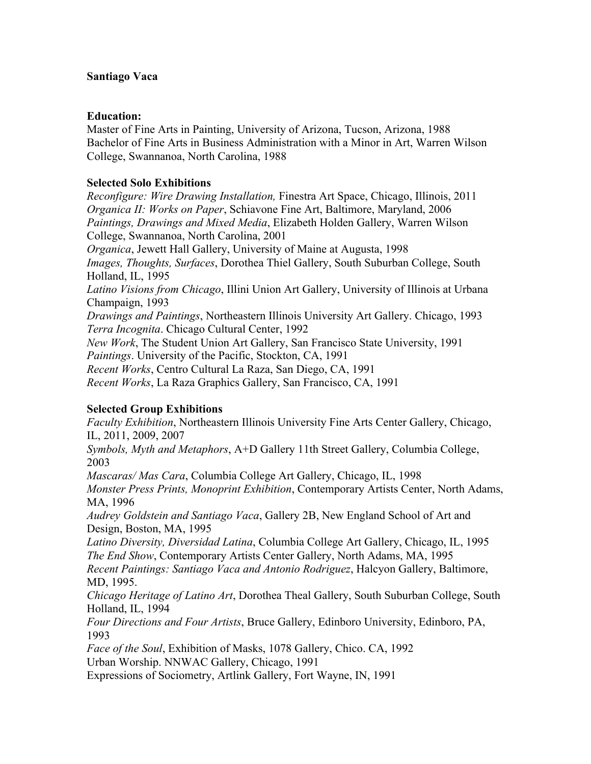## **Santiago Vaca**

## **Education:**

Master of Fine Arts in Painting, University of Arizona, Tucson, Arizona, 1988 Bachelor of Fine Arts in Business Administration with a Minor in Art, Warren Wilson College, Swannanoa, North Carolina, 1988

# **Selected Solo Exhibitions**

*Reconfigure: Wire Drawing Installation,* Finestra Art Space, Chicago, Illinois, 2011 *Organica II: Works on Paper*, Schiavone Fine Art, Baltimore, Maryland, 2006 *Paintings, Drawings and Mixed Media*, Elizabeth Holden Gallery, Warren Wilson College, Swannanoa, North Carolina, 2001 *Organica*, Jewett Hall Gallery, University of Maine at Augusta, 1998 *Images, Thoughts, Surfaces*, Dorothea Thiel Gallery, South Suburban College, South Holland, IL, 1995 *Latino Visions from Chicago*, Illini Union Art Gallery, University of Illinois at Urbana Champaign, 1993 *Drawings and Paintings*, Northeastern Illinois University Art Gallery. Chicago, 1993 *Terra Incognita*. Chicago Cultural Center, 1992 *New Work*, The Student Union Art Gallery, San Francisco State University, 1991 *Paintings*. University of the Pacific, Stockton, CA, 1991 *Recent Works*, Centro Cultural La Raza, San Diego, CA, 1991 *Recent Works*, La Raza Graphics Gallery, San Francisco, CA, 1991

# **Selected Group Exhibitions**

*Faculty Exhibition*, Northeastern Illinois University Fine Arts Center Gallery, Chicago, IL, 2011, 2009, 2007 *Symbols, Myth and Metaphors*, A+D Gallery 11th Street Gallery, Columbia College, 2003

*Mascaras/ Mas Cara*, Columbia College Art Gallery, Chicago, IL, 1998 *Monster Press Prints, Monoprint Exhibition*, Contemporary Artists Center, North Adams, MA, 1996

*Audrey Goldstein and Santiago Vaca*, Gallery 2B, New England School of Art and Design, Boston, MA, 1995

*Latino Diversity, Diversidad Latina*, Columbia College Art Gallery, Chicago, IL, 1995 *The End Show*, Contemporary Artists Center Gallery, North Adams, MA, 1995

*Recent Paintings: Santiago Vaca and Antonio Rodriguez*, Halcyon Gallery, Baltimore, MD, 1995.

*Chicago Heritage of Latino Art*, Dorothea Theal Gallery, South Suburban College, South Holland, IL, 1994

*Four Directions and Four Artists*, Bruce Gallery, Edinboro University, Edinboro, PA, 1993

*Face of the Soul*, Exhibition of Masks, 1078 Gallery, Chico. CA, 1992 Urban Worship. NNWAC Gallery, Chicago, 1991

Expressions of Sociometry, Artlink Gallery, Fort Wayne, IN, 1991